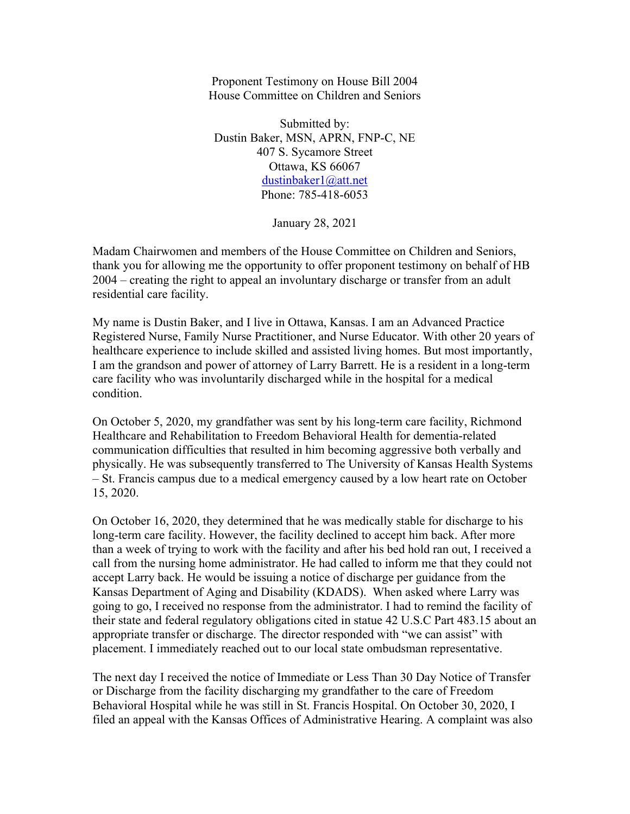Proponent Testimony on House Bill 2004 House Committee on Children and Seniors

Submitted by: Dustin Baker, MSN, APRN, FNP-C, NE 407 S. Sycamore Street Ottawa, KS 66067 dustinbaker1@att.net Phone: 785-418-6053

January 28, 2021

Madam Chairwomen and members of the House Committee on Children and Seniors, thank you for allowing me the opportunity to offer proponent testimony on behalf of HB 2004 – creating the right to appeal an involuntary discharge or transfer from an adult residential care facility.

My name is Dustin Baker, and I live in Ottawa, Kansas. I am an Advanced Practice Registered Nurse, Family Nurse Practitioner, and Nurse Educator. With other 20 years of healthcare experience to include skilled and assisted living homes. But most importantly, I am the grandson and power of attorney of Larry Barrett. He is a resident in a long-term care facility who was involuntarily discharged while in the hospital for a medical condition.

On October 5, 2020, my grandfather was sent by his long-term care facility, Richmond Healthcare and Rehabilitation to Freedom Behavioral Health for dementia-related communication difficulties that resulted in him becoming aggressive both verbally and physically. He was subsequently transferred to The University of Kansas Health Systems – St. Francis campus due to a medical emergency caused by a low heart rate on October 15, 2020.

On October 16, 2020, they determined that he was medically stable for discharge to his long-term care facility. However, the facility declined to accept him back. After more than a week of trying to work with the facility and after his bed hold ran out, I received a call from the nursing home administrator. He had called to inform me that they could not accept Larry back. He would be issuing a notice of discharge per guidance from the Kansas Department of Aging and Disability (KDADS). When asked where Larry was going to go, I received no response from the administrator. I had to remind the facility of their state and federal regulatory obligations cited in statue 42 U.S.C Part 483.15 about an appropriate transfer or discharge. The director responded with "we can assist" with placement. I immediately reached out to our local state ombudsman representative.

The next day I received the notice of Immediate or Less Than 30 Day Notice of Transfer or Discharge from the facility discharging my grandfather to the care of Freedom Behavioral Hospital while he was still in St. Francis Hospital. On October 30, 2020, I filed an appeal with the Kansas Offices of Administrative Hearing. A complaint was also